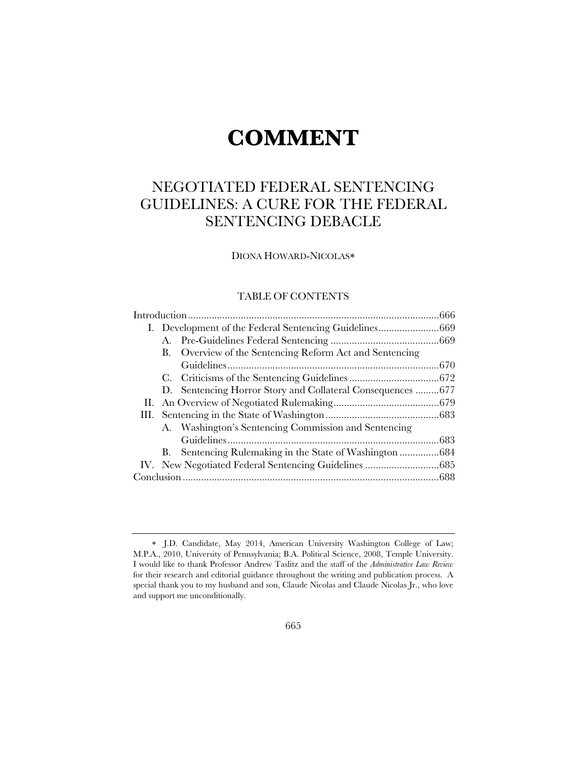# **COMMENT**

# NEGOTIATED FEDERAL SENTENCING GUIDELINES: A CURE FOR THE FEDERAL SENTENCING DEBACLE

DIONA HOWARD-NICOLAS

# TABLE OF CONTENTS

|    |    | B. Overview of the Sentencing Reform Act and Sentencing    |  |
|----|----|------------------------------------------------------------|--|
|    |    |                                                            |  |
|    |    |                                                            |  |
|    |    | D. Sentencing Horror Story and Collateral Consequences 677 |  |
| П. |    |                                                            |  |
|    |    |                                                            |  |
|    |    | A. Washington's Sentencing Commission and Sentencing       |  |
|    |    |                                                            |  |
|    | B. | Sentencing Rulemaking in the State of Washington 684       |  |
|    |    |                                                            |  |
|    |    |                                                            |  |

J.D. Candidate, May 2014, American University Washington College of Law; M.P.A., 2010, University of Pennsylvania; B.A. Political Science, 2008, Temple University. I would like to thank Professor Andrew Taslitz and the staff of the *Administrative Law Review* for their research and editorial guidance throughout the writing and publication process. A special thank you to my husband and son, Claude Nicolas and Claude Nicolas Jr., who love and support me unconditionally.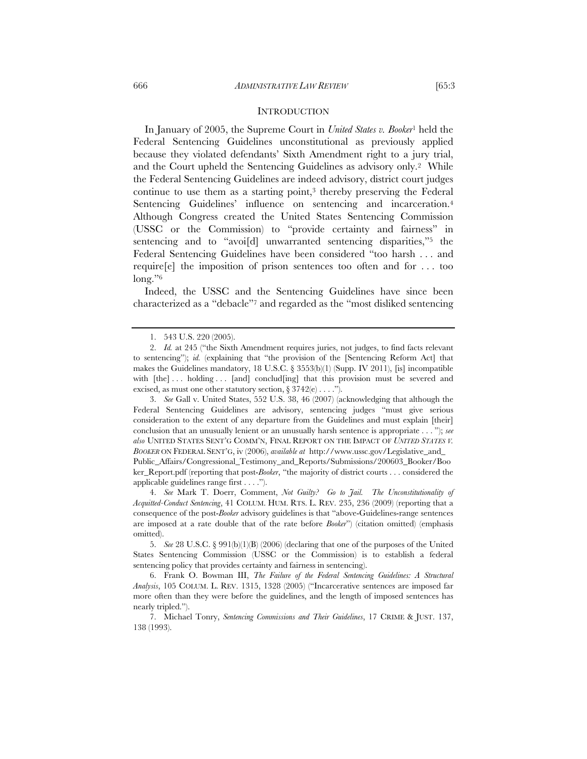In January of 2005, the Supreme Court in *United States v. Booker*1 held the Federal Sentencing Guidelines unconstitutional as previously applied because they violated defendants' Sixth Amendment right to a jury trial, and the Court upheld the Sentencing Guidelines as advisory only.2 While the Federal Sentencing Guidelines are indeed advisory, district court judges continue to use them as a starting point,3 thereby preserving the Federal Sentencing Guidelines' influence on sentencing and incarceration.<sup>4</sup> Although Congress created the United States Sentencing Commission (USSC or the Commission) to "provide certainty and fairness" in sentencing and to "avoi<sup>[d]</sup> unwarranted sentencing disparities,"<sup>5</sup> the Federal Sentencing Guidelines have been considered "too harsh . . . and require[e] the imposition of prison sentences too often and for . . . too long."<sup>6</sup>

Indeed, the USSC and the Sentencing Guidelines have since been characterized as a "debacle"7 and regarded as the "most disliked sentencing

 3. *See* Gall v. United States, 552 U.S. 38, 46 (2007) (acknowledging that although the Federal Sentencing Guidelines are advisory, sentencing judges "must give serious consideration to the extent of any departure from the Guidelines and must explain [their] conclusion that an unusually lenient or an unusually harsh sentence is appropriate . . . "); *see also* UNITED STATES SENT'G COMM'N, FINAL REPORT ON THE IMPACT OF *UNITED STATES V. BOOKER* ON FEDERAL SENT'G, iv (2006), *available at* http://www.ussc.gov/Legislative\_and\_ Public\_Affairs/Congressional\_Testimony\_and\_Reports/Submissions/200603\_Booker/Boo ker\_Report.pdf (reporting that post-*Booker*, "the majority of district courts . . . considered the applicable guidelines range first . . . .").

 4. *See* Mark T. Doerr, Comment, *Not Guilty? Go to Jail. The Unconstitutionality of Acquitted-Conduct Sentencing*, 41 COLUM. HUM. RTS. L. REV. 235, 236 (2009) (reporting that a consequence of the post-*Booker* advisory guidelines is that "above-Guidelines-range sentences are imposed at a rate double that of the rate before *Booker*") (citation omitted) (emphasis omitted).

 <sup>1. 543</sup> U.S. 220 (2005).

 <sup>2.</sup> *Id.* at 245 ("the Sixth Amendment requires juries, not judges, to find facts relevant to sentencing"); *id.* (explaining that "the provision of the [Sentencing Reform Act] that makes the Guidelines mandatory, 18 U.S.C. § 3553(b)(1) (Supp. IV 2011), [is] incompatible with [the] ... holding ... [and] conclud[ing] that this provision must be severed and excised, as must one other statutory section,  $\S 3742(e) \ldots$ .").

 <sup>5.</sup> *See* 28 U.S.C. § 991(b)(1)(B) (2006) (declaring that one of the purposes of the United States Sentencing Commission (USSC or the Commission) is to establish a federal sentencing policy that provides certainty and fairness in sentencing).

 <sup>6.</sup> Frank O. Bowman III, *The Failure of the Federal Sentencing Guidelines: A Structural Analysis*, 105 COLUM. L. REV. 1315, 1328 (2005) ("Incarcerative sentences are imposed far more often than they were before the guidelines, and the length of imposed sentences has nearly tripled.").

 <sup>7.</sup> Michael Tonry, *Sentencing Commissions and Their Guidelines*, 17 CRIME & JUST. 137, 138 (1993).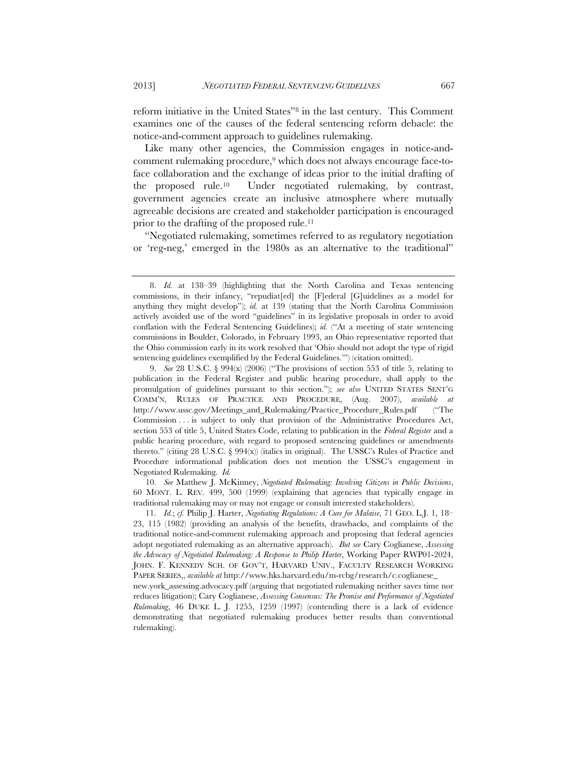reform initiative in the United States"8 in the last century. This Comment examines one of the causes of the federal sentencing reform debacle: the notice-and-comment approach to guidelines rulemaking.

Like many other agencies, the Commission engages in notice-andcomment rulemaking procedure,9 which does not always encourage face-toface collaboration and the exchange of ideas prior to the initial drafting of the proposed rule.10 Under negotiated rulemaking, by contrast, government agencies create an inclusive atmosphere where mutually agreeable decisions are created and stakeholder participation is encouraged prior to the drafting of the proposed rule.11

"Negotiated rulemaking, sometimes referred to as regulatory negotiation or 'reg-neg,' emerged in the 1980s as an alternative to the traditional"

 10. *See* Matthew J. McKinney, *Negotiated Rulemaking: Involving Citizens in Public Decisions*, 60 MONT. L. REV. 499, 500 (1999) (explaining that agencies that typically engage in traditional rulemaking may or may not engage or consult interested stakeholders).

 11. *Id.*; *cf.* Philip J. Harter, *Negotiating Regulations: A Cure for Malaise*, 71 GEO. L.J. 1, 18– 23, 115 (1982) (providing an analysis of the benefits, drawbacks, and complaints of the traditional notice-and-comment rulemaking approach and proposing that federal agencies adopt negotiated rulemaking as an alternative approach). *But see* Cary Coglianese, *Assessing the Advocacy of Negotiated Rulemaking: A Response to Philip Harter*, Working Paper RWP01-2024, JOHN. F. KENNEDY SCH. OF GOV'T, HARVARD UNIV., FACULTY RESEARCH WORKING PAPER SERIES,, *available at* http://www.hks.harvard.edu/m-rcbg/research/c.coglianese\_

 <sup>8.</sup> *Id.* at 138–39 (highlighting that the North Carolina and Texas sentencing commissions, in their infancy, "repudiat[ed] the [F]ederal [G]uidelines as a model for anything they might develop"); *id.* at 139 (stating that the North Carolina Commission actively avoided use of the word "guidelines" in its legislative proposals in order to avoid conflation with the Federal Sentencing Guidelines); *id.* ("At a meeting of state sentencing commissions in Boulder, Colorado, in February 1993, an Ohio representative reported that the Ohio commission early in its work resolved that 'Ohio should not adopt the type of rigid sentencing guidelines exemplified by the Federal Guidelines.'") (citation omitted).

 <sup>9.</sup> *See* 28 U.S.C. § 994(x) (2006) ("The provisions of section 553 of title 5, relating to publication in the Federal Register and public hearing procedure, shall apply to the promulgation of guidelines pursuant to this section."); *see also* UNITED STATES SENT'G COMM'N, RULES OF PRACTICE AND PROCEDURE, (Aug. 2007), *available at*  http://www.ussc.gov/Meetings\_and\_Rulemaking/Practice\_Procedure\_Rules.pdf ("The Commission . . . is subject to only that provision of the Administrative Procedures Act, section 553 of title 5, United States Code, relating to publication in the *Federal Register* and a public hearing procedure, with regard to proposed sentencing guidelines or amendments thereto." (citing 28 U.S.C.  $\S$  994(x)) (italics in original). The USSC's Rules of Practice and Procedure informational publication does not mention the USSC's engagement in Negotiated Rulemaking. *Id.*

new.york\_assessing.advocacy.pdf (arguing that negotiated rulemaking neither saves time nor reduces litigation); Cary Coglianese, *Assessing Consensus: The Promise and Performance of Negotiated Rulemaking*, 46 DUKE L. J. 1255, 1259 (1997) (contending there is a lack of evidence demonstrating that negotiated rulemaking produces better results than conventional rulemaking).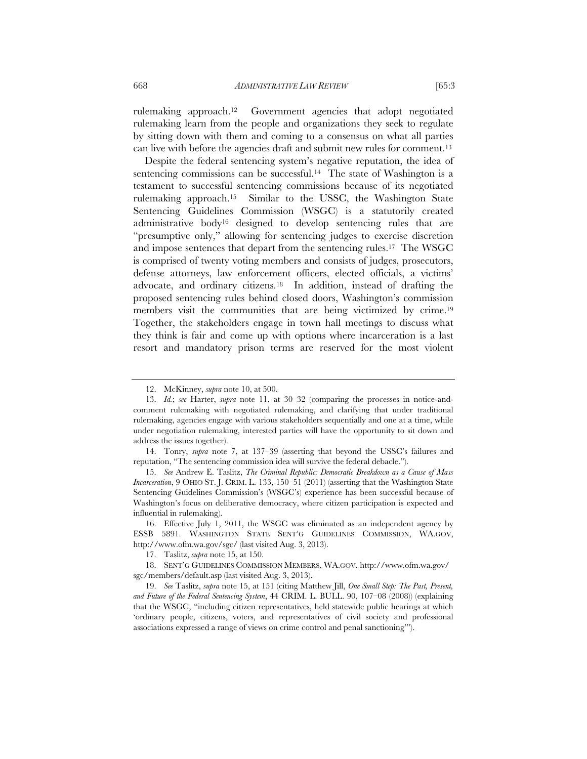rulemaking approach.12 Government agencies that adopt negotiated rulemaking learn from the people and organizations they seek to regulate by sitting down with them and coming to a consensus on what all parties can live with before the agencies draft and submit new rules for comment.13

Despite the federal sentencing system's negative reputation, the idea of sentencing commissions can be successful.<sup>14</sup> The state of Washington is a testament to successful sentencing commissions because of its negotiated rulemaking approach.15 Similar to the USSC, the Washington State Sentencing Guidelines Commission (WSGC) is a statutorily created administrative body16 designed to develop sentencing rules that are "presumptive only," allowing for sentencing judges to exercise discretion and impose sentences that depart from the sentencing rules.17 The WSGC is comprised of twenty voting members and consists of judges, prosecutors, defense attorneys, law enforcement officers, elected officials, a victims' advocate, and ordinary citizens.18 In addition, instead of drafting the proposed sentencing rules behind closed doors, Washington's commission members visit the communities that are being victimized by crime.<sup>19</sup> Together, the stakeholders engage in town hall meetings to discuss what they think is fair and come up with options where incarceration is a last resort and mandatory prison terms are reserved for the most violent

 <sup>12.</sup> McKinney, *supra* note 10, at 500.

 <sup>13.</sup> *Id.*; *see* Harter, *supra* note 11, at 30–32 (comparing the processes in notice-andcomment rulemaking with negotiated rulemaking, and clarifying that under traditional rulemaking, agencies engage with various stakeholders sequentially and one at a time, while under negotiation rulemaking, interested parties will have the opportunity to sit down and address the issues together).

 <sup>14.</sup> Tonry, *supra* note 7, at 137–39 (asserting that beyond the USSC's failures and reputation, "The sentencing commission idea will survive the federal debacle.").

 <sup>15.</sup> *See* Andrew E. Taslitz, *The Criminal Republic: Democratic Breakdown as a Cause of Mass Incarceration*, 9 OHIO ST. J. CRIM. L. 133, 150–51 (2011) (asserting that the Washington State Sentencing Guidelines Commission's (WSGC's) experience has been successful because of Washington's focus on deliberative democracy, where citizen participation is expected and influential in rulemaking).

 <sup>16.</sup> Effective July 1, 2011, the WSGC was eliminated as an independent agency by ESSB 5891. WASHINGTON STATE SENT'G GUIDELINES COMMISSION, WA.GOV, http://www.ofm.wa.gov/sgc/ (last visited Aug. 3, 2013).

 <sup>17.</sup> Taslitz, *supra* note 15, at 150.

 <sup>18.</sup> SENT'G GUIDELINES COMMISSION MEMBERS, WA.GOV, http://www.ofm.wa.gov/ sgc/members/default.asp (last visited Aug. 3, 2013).

 <sup>19.</sup> *See* Taslitz, *supra* note 15, at 151 (citing Matthew Jill, *One Small Step: The Past, Present, and Future of the Federal Sentencing System*, 44 CRIM. L. BULL. 90, 107–08 (2008)) (explaining that the WSGC, "including citizen representatives, held statewide public hearings at which 'ordinary people, citizens, voters, and representatives of civil society and professional associations expressed a range of views on crime control and penal sanctioning'").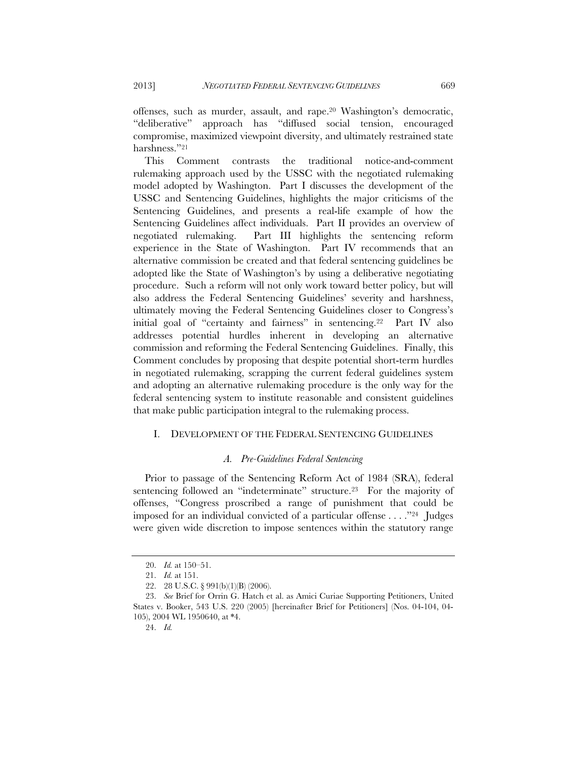offenses, such as murder, assault, and rape.20 Washington's democratic, "deliberative" approach has "diffused social tension, encouraged compromise, maximized viewpoint diversity, and ultimately restrained state harshness."21

This Comment contrasts the traditional notice-and-comment rulemaking approach used by the USSC with the negotiated rulemaking model adopted by Washington. Part I discusses the development of the USSC and Sentencing Guidelines, highlights the major criticisms of the Sentencing Guidelines, and presents a real-life example of how the Sentencing Guidelines affect individuals. Part II provides an overview of negotiated rulemaking. Part III highlights the sentencing reform experience in the State of Washington. Part IV recommends that an alternative commission be created and that federal sentencing guidelines be adopted like the State of Washington's by using a deliberative negotiating procedure. Such a reform will not only work toward better policy, but will also address the Federal Sentencing Guidelines' severity and harshness, ultimately moving the Federal Sentencing Guidelines closer to Congress's initial goal of "certainty and fairness" in sentencing.22 Part IV also addresses potential hurdles inherent in developing an alternative commission and reforming the Federal Sentencing Guidelines. Finally, this Comment concludes by proposing that despite potential short-term hurdles in negotiated rulemaking, scrapping the current federal guidelines system and adopting an alternative rulemaking procedure is the only way for the federal sentencing system to institute reasonable and consistent guidelines that make public participation integral to the rulemaking process.

# I. DEVELOPMENT OF THE FEDERAL SENTENCING GUIDELINES

#### *A. Pre-Guidelines Federal Sentencing*

Prior to passage of the Sentencing Reform Act of 1984 (SRA), federal sentencing followed an "indeterminate" structure.<sup>23</sup> For the majority of offenses, "Congress proscribed a range of punishment that could be imposed for an individual convicted of a particular offense . . . ."24 Judges were given wide discretion to impose sentences within the statutory range

 <sup>20.</sup> *Id.* at 150–51.

 <sup>21.</sup> *Id.* at 151.

 <sup>22. 28</sup> U.S.C. § 991(b)(1)(B) (2006).

 <sup>23.</sup> *See* Brief for Orrin G. Hatch et al. as Amici Curiae Supporting Petitioners, United States v. Booker, 543 U.S. 220 (2005) [hereinafter Brief for Petitioners] (Nos. 04-104, 04- 105), 2004 WL 1950640, at \*4.

 <sup>24.</sup> *Id.*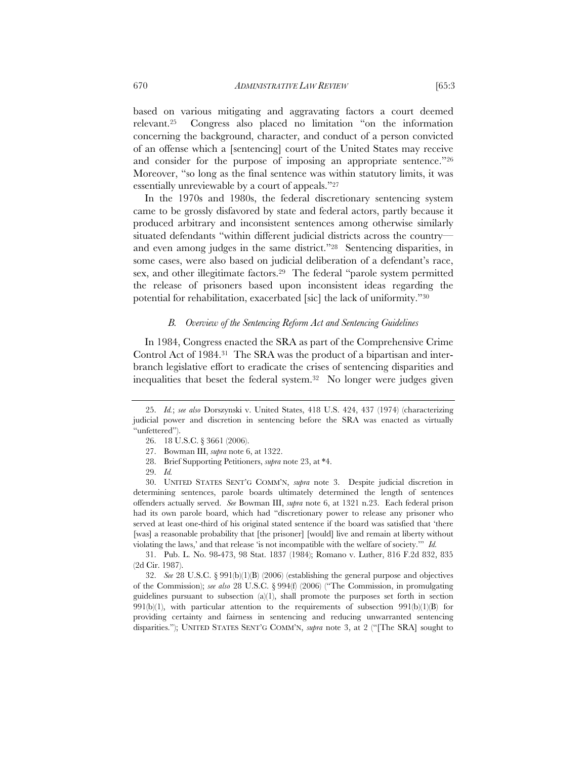based on various mitigating and aggravating factors a court deemed relevant.25 Congress also placed no limitation "on the information concerning the background, character, and conduct of a person convicted of an offense which a [sentencing] court of the United States may receive and consider for the purpose of imposing an appropriate sentence."26 Moreover, "so long as the final sentence was within statutory limits, it was essentially unreviewable by a court of appeals."27

In the 1970s and 1980s, the federal discretionary sentencing system came to be grossly disfavored by state and federal actors, partly because it produced arbitrary and inconsistent sentences among otherwise similarly situated defendants "within different judicial districts across the country and even among judges in the same district."28 Sentencing disparities, in some cases, were also based on judicial deliberation of a defendant's race, sex, and other illegitimate factors.<sup>29</sup> The federal "parole system permitted the release of prisoners based upon inconsistent ideas regarding the potential for rehabilitation, exacerbated [sic] the lack of uniformity."30

#### *B. Overview of the Sentencing Reform Act and Sentencing Guidelines*

In 1984, Congress enacted the SRA as part of the Comprehensive Crime Control Act of 1984.31 The SRA was the product of a bipartisan and interbranch legislative effort to eradicate the crises of sentencing disparities and inequalities that beset the federal system.32 No longer were judges given

 30. UNITED STATES SENT'G COMM'N, *supra* note 3. Despite judicial discretion in determining sentences, parole boards ultimately determined the length of sentences offenders actually served. *See* Bowman III, *supra* note 6, at 1321 n.23. Each federal prison had its own parole board, which had "discretionary power to release any prisoner who served at least one-third of his original stated sentence if the board was satisfied that 'there [was] a reasonable probability that [the prisoner] [would] live and remain at liberty without violating the laws,' and that release 'is not incompatible with the welfare of society.'" *Id.*

 31. Pub. L. No. 98-473, 98 Stat. 1837 (1984); Romano v. Luther, 816 F.2d 832, 835 (2d Cir. 1987).

 32. *See* 28 U.S.C. § 991(b)(1)(B) (2006) (establishing the general purpose and objectives of the Commission); *see also* 28 U.S.C. § 994(f) (2006) ("The Commission, in promulgating guidelines pursuant to subsection (a)(1), shall promote the purposes set forth in section  $991(b)(1)$ , with particular attention to the requirements of subsection  $991(b)(1)(B)$  for providing certainty and fairness in sentencing and reducing unwarranted sentencing disparities."); UNITED STATES SENT'G COMM'N, *supra* note 3, at 2 ("[The SRA] sought to

 <sup>25.</sup> *Id.*; *see also* Dorszynski v. United States, 418 U.S. 424, 437 (1974) (characterizing judicial power and discretion in sentencing before the SRA was enacted as virtually "unfettered").

 <sup>26. 18</sup> U.S.C. § 3661 (2006).

 <sup>27.</sup> Bowman III, *supra* note 6, at 1322.

 <sup>28.</sup> Brief Supporting Petitioners, *supra* note 23, at \*4.

 <sup>29.</sup> *Id.*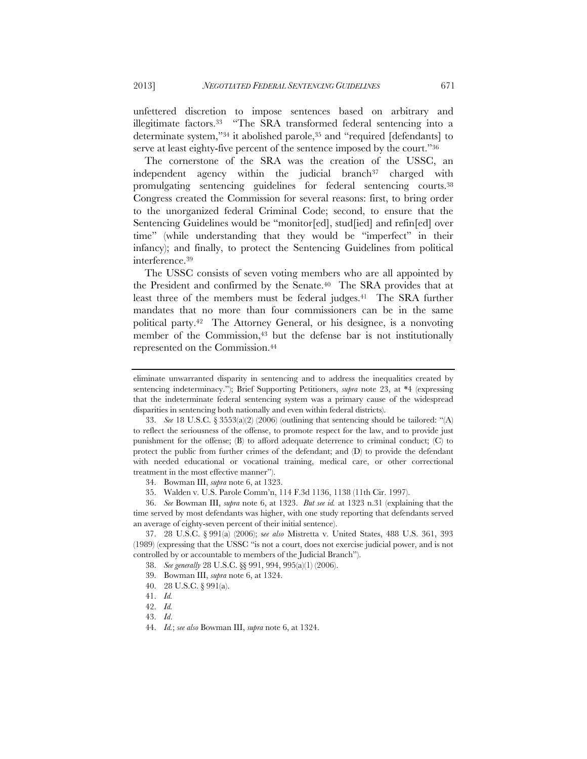unfettered discretion to impose sentences based on arbitrary and illegitimate factors.33 "The SRA transformed federal sentencing into a determinate system,"34 it abolished parole,35 and "required [defendants] to serve at least eighty-five percent of the sentence imposed by the court."36

The cornerstone of the SRA was the creation of the USSC, an independent agency within the judicial branch<sup>37</sup> charged with promulgating sentencing guidelines for federal sentencing courts.38 Congress created the Commission for several reasons: first, to bring order to the unorganized federal Criminal Code; second, to ensure that the Sentencing Guidelines would be "monitor[ed], stud[ied] and refin[ed] over time" (while understanding that they would be "imperfect" in their infancy); and finally, to protect the Sentencing Guidelines from political interference.39

The USSC consists of seven voting members who are all appointed by the President and confirmed by the Senate.40 The SRA provides that at least three of the members must be federal judges.41 The SRA further mandates that no more than four commissioners can be in the same political party.42 The Attorney General, or his designee, is a nonvoting member of the Commission,<sup>43</sup> but the defense bar is not institutionally represented on the Commission.44

 37. 28 U.S.C. § 991(a) (2006); s*ee also* Mistretta v. United States, 488 U.S. 361, 393 (1989) (expressing that the USSC "is not a court, does not exercise judicial power, and is not controlled by or accountable to members of the Judicial Branch").

40. 28 U.S.C. § 991(a).

eliminate unwarranted disparity in sentencing and to address the inequalities created by sentencing indeterminacy."); Brief Supporting Petitioners, *supra* note 23, at \*4 (expressing that the indeterminate federal sentencing system was a primary cause of the widespread disparities in sentencing both nationally and even within federal districts).

 <sup>33.</sup> *See* 18 U.S.C. § 3553(a)(2) (2006) (outlining that sentencing should be tailored: "(A) to reflect the seriousness of the offense, to promote respect for the law, and to provide just punishment for the offense; (B) to afford adequate deterrence to criminal conduct; (C) to protect the public from further crimes of the defendant; and (D) to provide the defendant with needed educational or vocational training, medical care, or other correctional treatment in the most effective manner").

 <sup>34.</sup> Bowman III, *supra* note 6, at 1323.

 <sup>35.</sup> Walden v. U.S. Parole Comm'n, 114 F.3d 1136, 1138 (11th Cir. 1997).

 <sup>36.</sup> *See* Bowman III, *supra* note 6, at 1323. *But see id.* at 1323 n.31 (explaining that the time served by most defendants was higher, with one study reporting that defendants served an average of eighty-seven percent of their initial sentence).

 <sup>38.</sup> *See generally* 28 U.S.C. §§ 991, 994, 995(a)(1) (2006).

 <sup>39.</sup> Bowman III, *supra* note 6, at 1324.

 <sup>41.</sup> *Id.*

 <sup>42.</sup> *Id.*

 <sup>43.</sup> *Id*.

 <sup>44.</sup> *Id.*; *see also* Bowman III, *supra* note 6, at 1324.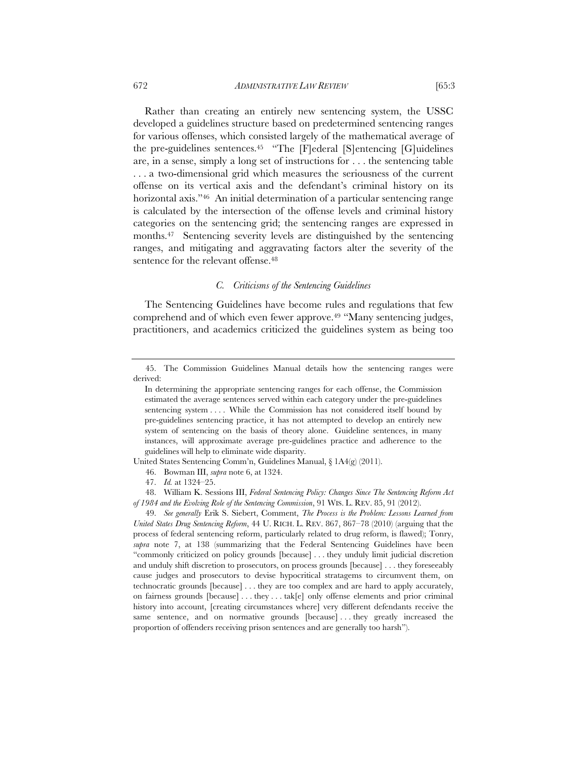Rather than creating an entirely new sentencing system, the USSC developed a guidelines structure based on predetermined sentencing ranges for various offenses, which consisted largely of the mathematical average of the pre-guidelines sentences.45 "The [F]ederal [S]entencing [G]uidelines are, in a sense, simply a long set of instructions for . . . the sentencing table . . . a two-dimensional grid which measures the seriousness of the current offense on its vertical axis and the defendant's criminal history on its horizontal axis."<sup>46</sup> An initial determination of a particular sentencing range is calculated by the intersection of the offense levels and criminal history categories on the sentencing grid; the sentencing ranges are expressed in months.47 Sentencing severity levels are distinguished by the sentencing ranges, and mitigating and aggravating factors alter the severity of the sentence for the relevant offense.<sup>48</sup>

# *C. Criticisms of the Sentencing Guidelines*

The Sentencing Guidelines have become rules and regulations that few comprehend and of which even fewer approve.49 "Many sentencing judges, practitioners, and academics criticized the guidelines system as being too

United States Sentencing Comm'n, Guidelines Manual, § 1A4(g) (2011).

 48. William K. Sessions III, *Federal Sentencing Policy: Changes Since The Sentencing Reform Act of 1984 and the Evolving Role of the Sentencing Commission*, 91 WIS. L. REV. 85, 91 (2012).

 49. *See generally* Erik S. Siebert, Comment, *The Process is the Problem: Lessons Learned from United States Drug Sentencing Reform*, 44 U. RICH. L. REV. 867, 867–78 (2010) (arguing that the process of federal sentencing reform, particularly related to drug reform, is flawed); Tonry, *supra* note 7, at 138 (summarizing that the Federal Sentencing Guidelines have been "commonly criticized on policy grounds [because] . . . they unduly limit judicial discretion and unduly shift discretion to prosecutors, on process grounds [because] . . . they foreseeably cause judges and prosecutors to devise hypocritical stratagems to circumvent them, on technocratic grounds [because] . . . they are too complex and are hard to apply accurately, on fairness grounds [because] . . . they . . . tak[e] only offense elements and prior criminal history into account, [creating circumstances where] very different defendants receive the same sentence, and on normative grounds [because] . . . they greatly increased the proportion of offenders receiving prison sentences and are generally too harsh").

 <sup>45.</sup> The Commission Guidelines Manual details how the sentencing ranges were derived:

In determining the appropriate sentencing ranges for each offense, the Commission estimated the average sentences served within each category under the pre-guidelines sentencing system . . . . While the Commission has not considered itself bound by pre-guidelines sentencing practice, it has not attempted to develop an entirely new system of sentencing on the basis of theory alone. Guideline sentences, in many instances, will approximate average pre-guidelines practice and adherence to the guidelines will help to eliminate wide disparity.

 <sup>46.</sup> Bowman III, *supra* note 6, at 1324.

 <sup>47.</sup> *Id.* at 1324–25.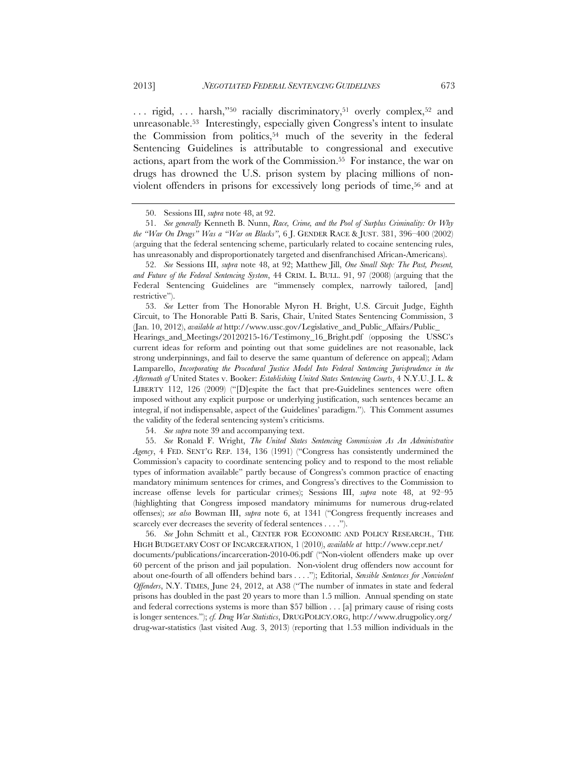... rigid, ... harsh,"<sup>50</sup> racially discriminatory,<sup>51</sup> overly complex,<sup>52</sup> and unreasonable.53 Interestingly, especially given Congress's intent to insulate the Commission from politics,<sup>54</sup> much of the severity in the federal Sentencing Guidelines is attributable to congressional and executive actions, apart from the work of the Commission.55 For instance, the war on drugs has drowned the U.S. prison system by placing millions of nonviolent offenders in prisons for excessively long periods of time,<sup>56</sup> and at

 53. *See* Letter from The Honorable Myron H. Bright, U.S. Circuit Judge, Eighth Circuit, to The Honorable Patti B. Saris, Chair, United States Sentencing Commission, 3 (Jan. 10, 2012), *available at* http://www.ussc.gov/Legislative\_and\_Public\_Affairs/Public\_

Hearings\_and\_Meetings/20120215-16/Testimony\_16\_Bright.pdf (opposing the USSC's current ideas for reform and pointing out that some guidelines are not reasonable, lack strong underpinnings, and fail to deserve the same quantum of deference on appeal); Adam Lamparello, *Incorporating the Procedural Justice Model Into Federal Sentencing Jurisprudence in the Aftermath of* United States v. Booker: *Establishing United States Sentencing Courts*, 4 N.Y.U. J. L. & LIBERTY 112, 126 (2009) ("[D]espite the fact that pre-Guidelines sentences were often imposed without any explicit purpose or underlying justification, such sentences became an integral, if not indispensable, aspect of the Guidelines' paradigm."). This Comment assumes the validity of the federal sentencing system's criticisms.

54. *See supra* note 39 and accompanying text.

 55. *See* Ronald F. Wright, *The United States Sentencing Commission As An Administrative Agency*, 4 FED. SENT'G REP. 134, 136 (1991) ("Congress has consistently undermined the Commission's capacity to coordinate sentencing policy and to respond to the most reliable types of information available" partly because of Congress's common practice of enacting mandatory minimum sentences for crimes, and Congress's directives to the Commission to increase offense levels for particular crimes); Sessions III, *supra* note 48, at 92–95 (highlighting that Congress imposed mandatory minimums for numerous drug-related offenses); *see also* Bowman III, *supra* note 6, at 1341 ("Congress frequently increases and scarcely ever decreases the severity of federal sentences . . . .").

 56. *See* John Schmitt et al., CENTER FOR ECONOMIC AND POLICY RESEARCH., THE HIGH BUDGETARY COST OF INCARCERATION, 1 (2010), *available at* http://www.cepr.net/ documents/publications/incarceration-2010-06.pdf ("Non-violent offenders make up over 60 percent of the prison and jail population. Non-violent drug offenders now account for about one-fourth of all offenders behind bars . . . ."); Editorial, *Sensible Sentences for Nonviolent Offenders*, N.Y. TIMES, June 24, 2012, at A38 ("The number of inmates in state and federal prisons has doubled in the past 20 years to more than 1.5 million. Annual spending on state and federal corrections systems is more than \$57 billion . . . [a] primary cause of rising costs is longer sentences."); *cf. Drug War Statistics*, DRUGPOLICY.ORG, http://www.drugpolicy.org/ drug-war-statistics (last visited Aug. 3, 2013) (reporting that 1.53 million individuals in the

 <sup>50.</sup> Sessions III, *supra* note 48, at 92.

 <sup>51.</sup> *See generally* Kenneth B. Nunn, *Race, Crime, and the Pool of Surplus Criminality: Or Why the "War On Drugs" Was a "War on Blacks"*, 6 J. GENDER RACE & JUST. 381, 396–400 (2002) (arguing that the federal sentencing scheme, particularly related to cocaine sentencing rules, has unreasonably and disproportionately targeted and disenfranchised African-Americans).

 <sup>52.</sup> *See* Sessions III, *supra* note 48, at 92; Matthew Jill, *One Small Step: The Past, Present, and Future of the Federal Sentencing System*, 44 CRIM. L. BULL. 91, 97 (2008) (arguing that the Federal Sentencing Guidelines are "immensely complex, narrowly tailored, [and] restrictive").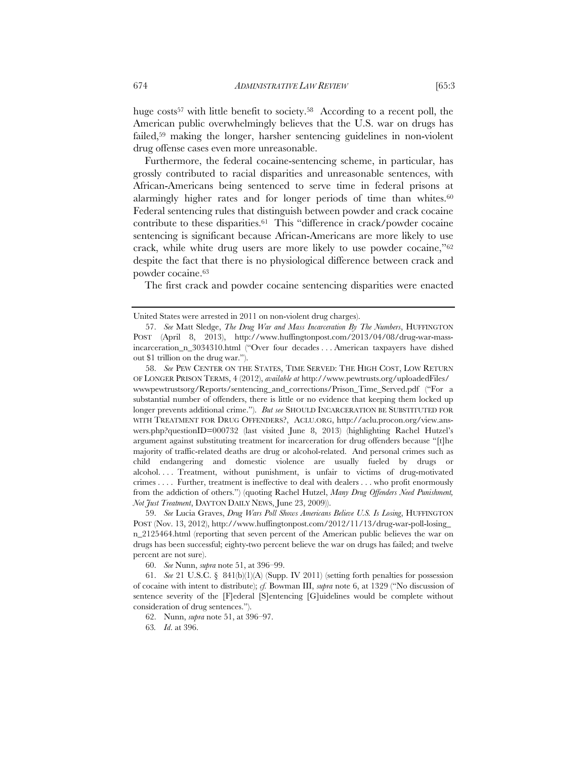huge costs<sup>57</sup> with little benefit to society.<sup>58</sup> According to a recent poll, the American public overwhelmingly believes that the U.S. war on drugs has failed,59 making the longer, harsher sentencing guidelines in non-violent drug offense cases even more unreasonable.

Furthermore, the federal cocaine-sentencing scheme, in particular, has grossly contributed to racial disparities and unreasonable sentences, with African-Americans being sentenced to serve time in federal prisons at alarmingly higher rates and for longer periods of time than whites. $60$ Federal sentencing rules that distinguish between powder and crack cocaine contribute to these disparities.61 This "difference in crack/powder cocaine sentencing is significant because African-Americans are more likely to use crack, while white drug users are more likely to use powder cocaine,"62 despite the fact that there is no physiological difference between crack and powder cocaine.63

The first crack and powder cocaine sentencing disparities were enacted

 58. *See* PEW CENTER ON THE STATES, TIME SERVED: THE HIGH COST, LOW RETURN OF LONGER PRISON TERMS, 4 (2012), *available at* http://www.pewtrusts.org/uploadedFiles/ wwwpewtrustsorg/Reports/sentencing\_and\_corrections/Prison\_Time\_Served.pdf ("For a substantial number of offenders, there is little or no evidence that keeping them locked up longer prevents additional crime."). *But see* SHOULD INCARCERATION BE SUBSTITUTED FOR WITH TREATMENT FOR DRUG OFFENDERS?,ACLU.ORG, http://aclu.procon.org/view.answers.php?questionID=000732 (last visited June 8, 2013) (highlighting Rachel Hutzel's argument against substituting treatment for incarceration for drug offenders because "[t]he majority of traffic-related deaths are drug or alcohol-related. And personal crimes such as child endangering and domestic violence are usually fueled by drugs or alcohol. . . . Treatment, without punishment, is unfair to victims of drug-motivated crimes . . . . Further, treatment is ineffective to deal with dealers . . . who profit enormously from the addiction of others.") (quoting Rachel Hutzel, *Many Drug Offenders Need Punishment, Not Just Treatment*, DAYTON DAILY NEWS, June 23, 2009)).

 59. *See* Lucia Graves, *Drug Wars Poll Shows Americans Believe U.S. Is Losing*, HUFFINGTON POST (Nov. 13, 2012), http://www.huffingtonpost.com/2012/11/13/drug-war-poll-losing\_ n\_2125464.html (reporting that seven percent of the American public believes the war on drugs has been successful; eighty-two percent believe the war on drugs has failed; and twelve percent are not sure).

60. *See* Nunn, *supra* note 51, at 396–99.

 61. *See* 21 U.S.C. § 841(b)(1)(A) (Supp. IV 2011) (setting forth penalties for possession of cocaine with intent to distribute); *cf.* Bowman III, *supra* note 6, at 1329 ("No discussion of sentence severity of the [F]ederal [S]entencing [G]uidelines would be complete without consideration of drug sentences.").

62. Nunn, *supra* note 51, at 396–97.

63*. Id*. at 396.

United States were arrested in 2011 on non-violent drug charges).

 <sup>57.</sup> *See* Matt Sledge, *The Drug War and Mass Incarceration By The Numbers*, HUFFINGTON POST (April 8, 2013), http://www.huffingtonpost.com/2013/04/08/drug-war-massincarceration\_n\_3034310.html ("Over four decades . . . American taxpayers have dished out \$1 trillion on the drug war.").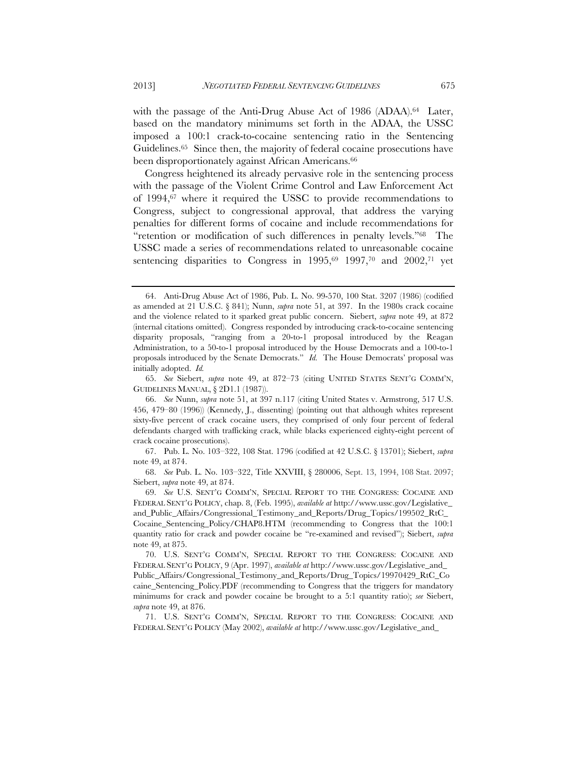with the passage of the Anti-Drug Abuse Act of 1986 (ADAA).<sup>64</sup> Later, based on the mandatory minimums set forth in the ADAA, the USSC imposed a 100:1 crack-to-cocaine sentencing ratio in the Sentencing Guidelines.65 Since then, the majority of federal cocaine prosecutions have been disproportionately against African Americans.<sup>66</sup>

Congress heightened its already pervasive role in the sentencing process with the passage of the Violent Crime Control and Law Enforcement Act of 1994,67 where it required the USSC to provide recommendations to Congress, subject to congressional approval, that address the varying penalties for different forms of cocaine and include recommendations for "retention or modification of such differences in penalty levels."68 The USSC made a series of recommendations related to unreasonable cocaine sentencing disparities to Congress in  $1995,69$  1997,70 and 2002,71 yet

 65. *See* Siebert, *supra* note 49, at 872–73 (citing UNITED STATES SENT'G COMM'N, GUIDELINES MANUAL, § 2D1.1 (1987)).

 <sup>64.</sup> Anti-Drug Abuse Act of 1986, Pub. L. No. 99-570, 100 Stat. 3207 (1986) (codified as amended at 21 U.S.C. § 841); Nunn, *supra* note 51, at 397. In the 1980s crack cocaine and the violence related to it sparked great public concern. Siebert, *supra* note 49, at 872 (internal citations omitted). Congress responded by introducing crack-to-cocaine sentencing disparity proposals, "ranging from a 20-to-1 proposal introduced by the Reagan Administration, to a 50-to-1 proposal introduced by the House Democrats and a 100-to-1 proposals introduced by the Senate Democrats." *Id.* The House Democrats' proposal was initially adopted. *Id.*

 <sup>66.</sup> *See* Nunn, *supra* note 51, at 397 n.117 (citing United States v. Armstrong, 517 U.S. 456, 479–80 (1996)) (Kennedy, J., dissenting) (pointing out that although whites represent sixty-five percent of crack cocaine users, they comprised of only four percent of federal defendants charged with trafficking crack, while blacks experienced eighty-eight percent of crack cocaine prosecutions).

 <sup>67.</sup> Pub. L. No. 103–322, 108 Stat. 1796 (codified at 42 U.S.C. § 13701); Siebert, *supra* note 49, at 874.

 <sup>68.</sup> *See* Pub. L. No. 103–322, Title XXVIII, § 280006, Sept. 13, 1994, 108 Stat. 2097; Siebert, *supra* note 49, at 874.

 <sup>69.</sup> *See* U.S. SENT'G COMM'N, SPECIAL REPORT TO THE CONGRESS: COCAINE AND FEDERAL SENT'G POLICY, chap. 8, (Feb. 1995), *available at* http://www.ussc.gov/Legislative\_ and\_Public\_Affairs/Congressional\_Testimony\_and\_Reports/Drug\_Topics/199502\_RtC\_ Cocaine\_Sentencing\_Policy/CHAP8.HTM (recommending to Congress that the 100:1 quantity ratio for crack and powder cocaine be "re-examined and revised"); Siebert, *supra* note 49, at 875.

 <sup>70.</sup> U.S. SENT'G COMM'N, SPECIAL REPORT TO THE CONGRESS: COCAINE AND FEDERAL SENT'G POLICY, 9 (Apr. 1997), *available at* http://www.ussc.gov/Legislative\_and\_ Public\_Affairs/Congressional\_Testimony\_and\_Reports/Drug\_Topics/19970429\_RtC\_Co caine\_Sentencing\_Policy.PDF (recommending to Congress that the triggers for mandatory minimums for crack and powder cocaine be brought to a 5:1 quantity ratio); *see* Siebert, *supra* note 49, at 876.

 <sup>71.</sup> U.S. SENT'G COMM'N, SPECIAL REPORT TO THE CONGRESS: COCAINE AND FEDERAL SENT'G POLICY (May 2002), *available at* http://www.ussc.gov/Legislative\_and\_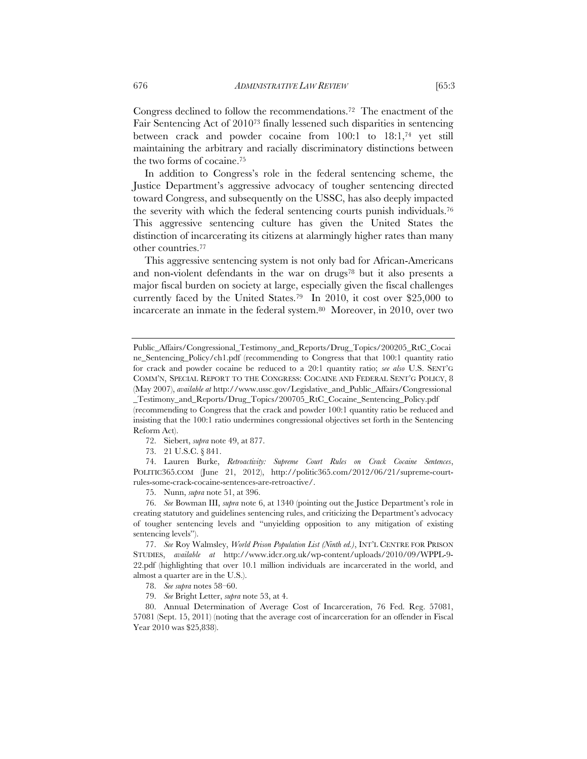Congress declined to follow the recommendations.72 The enactment of the Fair Sentencing Act of 201073 finally lessened such disparities in sentencing between crack and powder cocaine from 100:1 to 18:1,74 yet still maintaining the arbitrary and racially discriminatory distinctions between the two forms of cocaine.75

In addition to Congress's role in the federal sentencing scheme, the Justice Department's aggressive advocacy of tougher sentencing directed toward Congress, and subsequently on the USSC, has also deeply impacted the severity with which the federal sentencing courts punish individuals.76 This aggressive sentencing culture has given the United States the distinction of incarcerating its citizens at alarmingly higher rates than many other countries.77

This aggressive sentencing system is not only bad for African-Americans and non-violent defendants in the war on drugs<sup>78</sup> but it also presents a major fiscal burden on society at large, especially given the fiscal challenges currently faced by the United States.79 In 2010, it cost over \$25,000 to incarcerate an inmate in the federal system.<sup>80</sup> Moreover, in 2010, over two

72. Siebert, *supra* note 49, at 877.

73. 21 U.S.C. § 841.

 74. Lauren Burke, *Retroactivity: Supreme Court Rules on Crack Cocaine Sentences*, POLITIC365.COM (June 21, 2012), http://politic365.com/2012/06/21/supreme-courtrules-some-crack-cocaine-sentences-are-retroactive/.

75. Nunn, *supra* note 51, at 396.

 76. *See* Bowman III, *supra* note 6, at 1340 (pointing out the Justice Department's role in creating statutory and guidelines sentencing rules, and criticizing the Department's advocacy of tougher sentencing levels and "unyielding opposition to any mitigation of existing sentencing levels").

 77. *See* Roy Walmsley, *World Prison Population List (Ninth ed.)*, INT'L CENTRE FOR PRISON STUDIES, *available at* http://www.idcr.org.uk/wp-content/uploads/2010/09/WPPL-9- 22.pdf (highlighting that over 10.1 million individuals are incarcerated in the world, and almost a quarter are in the U.S.).

78. *See supra* notes 58–60.

79. *See* Bright Letter, *supra* note 53, at 4.

 80. Annual Determination of Average Cost of Incarceration, 76 Fed. Reg. 57081, 57081 (Sept. 15, 2011) (noting that the average cost of incarceration for an offender in Fiscal Year 2010 was \$25,838).

Public\_Affairs/Congressional\_Testimony\_and\_Reports/Drug\_Topics/200205\_RtC\_Cocai ne\_Sentencing\_Policy/ch1.pdf (recommending to Congress that that 100:1 quantity ratio for crack and powder cocaine be reduced to a 20:1 quantity ratio; *see also* U.S. SENT'G COMM'N, SPECIAL REPORT TO THE CONGRESS: COCAINE AND FEDERAL SENT'G POLICY, 8 (May 2007), *available at* http://www.ussc.gov/Legislative\_and\_Public\_Affairs/Congressional

\_Testimony\_and\_Reports/Drug\_Topics/200705\_RtC\_Cocaine\_Sentencing\_Policy.pdf (recommending to Congress that the crack and powder 100:1 quantity ratio be reduced and insisting that the 100:1 ratio undermines congressional objectives set forth in the Sentencing Reform Act).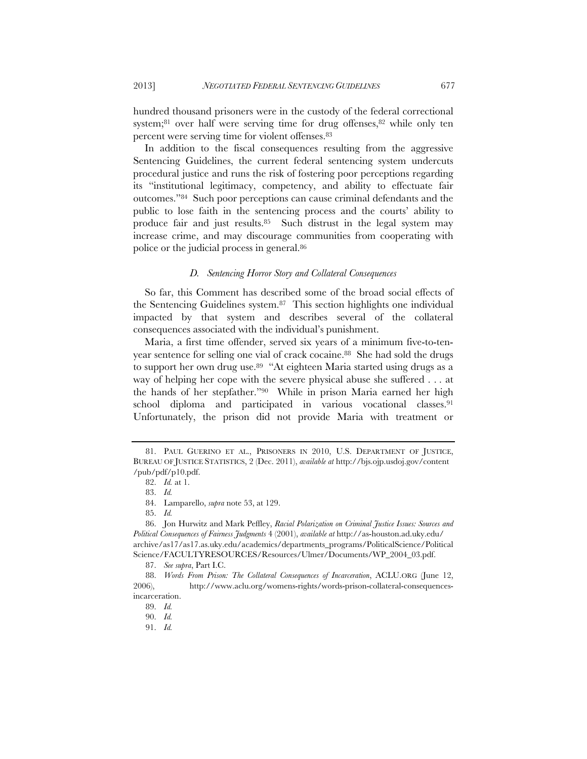hundred thousand prisoners were in the custody of the federal correctional system;<sup>81</sup> over half were serving time for drug offenses,<sup>82</sup> while only ten percent were serving time for violent offenses.83

In addition to the fiscal consequences resulting from the aggressive Sentencing Guidelines, the current federal sentencing system undercuts procedural justice and runs the risk of fostering poor perceptions regarding its "institutional legitimacy, competency, and ability to effectuate fair outcomes."84 Such poor perceptions can cause criminal defendants and the public to lose faith in the sentencing process and the courts' ability to produce fair and just results.85 Such distrust in the legal system may increase crime, and may discourage communities from cooperating with police or the judicial process in general.86

# *D. Sentencing Horror Story and Collateral Consequences*

So far, this Comment has described some of the broad social effects of the Sentencing Guidelines system.87 This section highlights one individual impacted by that system and describes several of the collateral consequences associated with the individual's punishment.

Maria, a first time offender, served six years of a minimum five-to-tenyear sentence for selling one vial of crack cocaine.<sup>88</sup> She had sold the drugs to support her own drug use.89 "At eighteen Maria started using drugs as a way of helping her cope with the severe physical abuse she suffered . . . at the hands of her stepfather."90 While in prison Maria earned her high school diploma and participated in various vocational classes.91 Unfortunately, the prison did not provide Maria with treatment or

85. *Id.*

 <sup>81.</sup> PAUL GUERINO ET AL., PRISONERS IN 2010, U.S. DEPARTMENT OF JUSTICE, BUREAU OF JUSTICE STATISTICS, 2 (Dec. 2011), *available at* http://bjs.ojp.usdoj.gov/content /pub/pdf/p10.pdf.

 <sup>82.</sup> *Id.* at 1.

 <sup>83.</sup> *Id.*

 <sup>84.</sup> Lamparello, *supra* note 53, at 129.

 <sup>86.</sup> Jon Hurwitz and Mark Peffley, *Racial Polarization on Criminal Justice Issues: Sources and Political Consequences of Fairness Judgments* 4 (2001), *available at* http://as-houston.ad.uky.edu/ archive/as17/as17.as.uky.edu/academics/departments\_programs/PoliticalScience/Political Science/FACULTYRESOURCES/Resources/Ulmer/Documents/WP\_2004\_03.pdf.

 <sup>87.</sup> *See supra*, Part I.C.

 <sup>88.</sup> *Words From Prison: The Collateral Consequences of Incarceration*, ACLU.ORG (June 12, 2006), http://www.aclu.org/womens-rights/words-prison-collateral-consequencesincarceration.

 <sup>89.</sup> *Id.*

 <sup>90.</sup> *Id.*

 <sup>91.</sup> *Id.*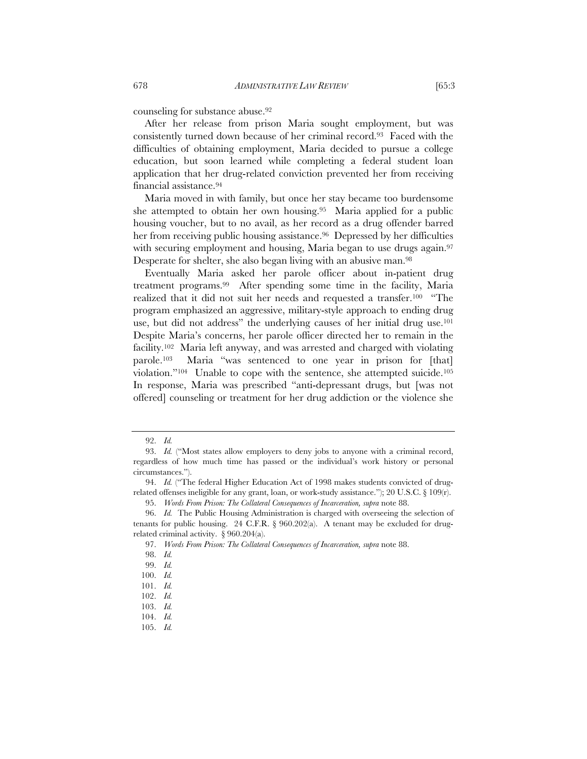counseling for substance abuse.92

After her release from prison Maria sought employment, but was consistently turned down because of her criminal record.93 Faced with the difficulties of obtaining employment, Maria decided to pursue a college education, but soon learned while completing a federal student loan application that her drug-related conviction prevented her from receiving financial assistance.94

Maria moved in with family, but once her stay became too burdensome she attempted to obtain her own housing.95 Maria applied for a public housing voucher, but to no avail, as her record as a drug offender barred her from receiving public housing assistance.<sup>96</sup> Depressed by her difficulties with securing employment and housing, Maria began to use drugs again.<sup>97</sup> Desperate for shelter, she also began living with an abusive man.98

Eventually Maria asked her parole officer about in-patient drug treatment programs.99 After spending some time in the facility, Maria realized that it did not suit her needs and requested a transfer.100 "The program emphasized an aggressive, military-style approach to ending drug use, but did not address" the underlying causes of her initial drug use.<sup>101</sup> Despite Maria's concerns, her parole officer directed her to remain in the facility.102 Maria left anyway, and was arrested and charged with violating parole.103 Maria "was sentenced to one year in prison for [that] violation."104 Unable to cope with the sentence, she attempted suicide.105 In response, Maria was prescribed "anti-depressant drugs, but [was not offered] counseling or treatment for her drug addiction or the violence she

 <sup>92.</sup> *Id.*

 <sup>93.</sup> *Id.* ("Most states allow employers to deny jobs to anyone with a criminal record, regardless of how much time has passed or the individual's work history or personal circumstances.").

 <sup>94.</sup> *Id.* ("The federal Higher Education Act of 1998 makes students convicted of drugrelated offenses ineligible for any grant, loan, or work-study assistance."); 20 U.S.C. § 109 $(r)$ .

 <sup>95.</sup> *Words From Prison: The Collateral Consequences of Incarceration, supra* note 88.

 <sup>96.</sup> *Id.* The Public Housing Administration is charged with overseeing the selection of tenants for public housing. 24 C.F.R.  $\S$  960.202(a). A tenant may be excluded for drugrelated criminal activity. § 960.204(a).

 <sup>97.</sup> *Words From Prison: The Collateral Consequences of Incarceration, supra* note 88.

 <sup>98.</sup> *Id.*

 <sup>99.</sup> *Id.*

 <sup>100.</sup> *Id.*

 <sup>101.</sup> *Id.*

 <sup>102.</sup> *Id.*

 <sup>103.</sup> *Id.*

 <sup>104.</sup> *Id.*

 <sup>105.</sup> *Id.*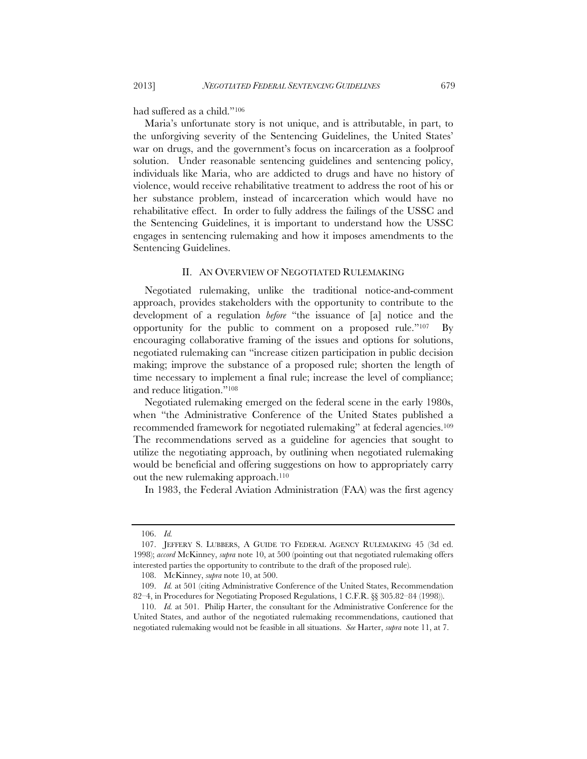had suffered as a child."106

Maria's unfortunate story is not unique, and is attributable, in part, to the unforgiving severity of the Sentencing Guidelines, the United States' war on drugs, and the government's focus on incarceration as a foolproof solution. Under reasonable sentencing guidelines and sentencing policy, individuals like Maria, who are addicted to drugs and have no history of violence, would receive rehabilitative treatment to address the root of his or her substance problem, instead of incarceration which would have no rehabilitative effect. In order to fully address the failings of the USSC and the Sentencing Guidelines, it is important to understand how the USSC engages in sentencing rulemaking and how it imposes amendments to the Sentencing Guidelines.

## II. AN OVERVIEW OF NEGOTIATED RULEMAKING

Negotiated rulemaking, unlike the traditional notice-and-comment approach, provides stakeholders with the opportunity to contribute to the development of a regulation *before* "the issuance of [a] notice and the opportunity for the public to comment on a proposed rule."107 By encouraging collaborative framing of the issues and options for solutions, negotiated rulemaking can "increase citizen participation in public decision making; improve the substance of a proposed rule; shorten the length of time necessary to implement a final rule; increase the level of compliance; and reduce litigation."108

Negotiated rulemaking emerged on the federal scene in the early 1980s, when "the Administrative Conference of the United States published a recommended framework for negotiated rulemaking" at federal agencies.109 The recommendations served as a guideline for agencies that sought to utilize the negotiating approach, by outlining when negotiated rulemaking would be beneficial and offering suggestions on how to appropriately carry out the new rulemaking approach.<sup>110</sup>

In 1983, the Federal Aviation Administration (FAA) was the first agency

 <sup>106.</sup> *Id.*

 <sup>107.</sup> JEFFERY S. LUBBERS, A GUIDE TO FEDERAL AGENCY RULEMAKING 45 (3d ed. 1998); *accord* McKinney, *supra* note 10, at 500 (pointing out that negotiated rulemaking offers interested parties the opportunity to contribute to the draft of the proposed rule).

 <sup>108.</sup> McKinney, *supra* note 10, at 500.

 <sup>109.</sup> *Id.* at 501 (citing Administrative Conference of the United States, Recommendation 82–4, in Procedures for Negotiating Proposed Regulations, 1 C.F.R. §§ 305.82–84 (1998)).

 <sup>110.</sup> *Id.* at 501. Philip Harter, the consultant for the Administrative Conference for the United States, and author of the negotiated rulemaking recommendations, cautioned that negotiated rulemaking would not be feasible in all situations. *See* Harter, *supra* note 11, at 7.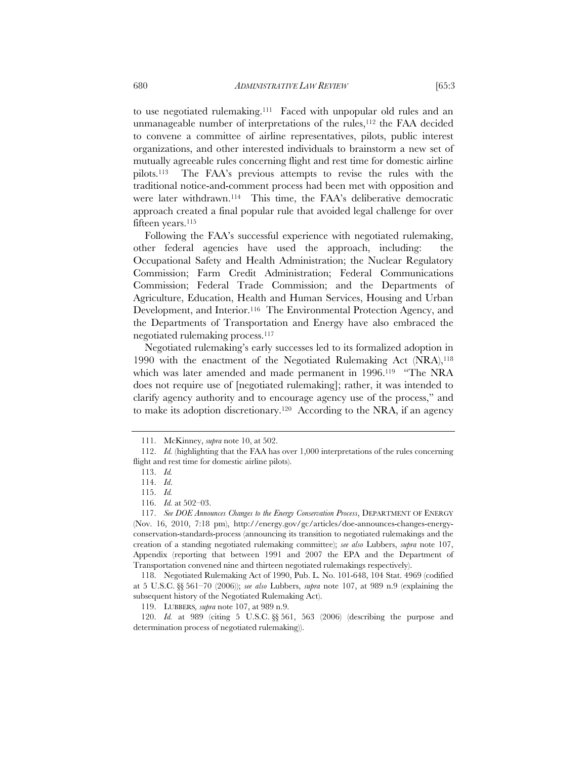to use negotiated rulemaking.111 Faced with unpopular old rules and an unmanageable number of interpretations of the rules,<sup>112</sup> the FAA decided to convene a committee of airline representatives, pilots, public interest organizations, and other interested individuals to brainstorm a new set of mutually agreeable rules concerning flight and rest time for domestic airline pilots.113 The FAA's previous attempts to revise the rules with the traditional notice-and-comment process had been met with opposition and were later withdrawn.<sup>114</sup> This time, the FAA's deliberative democratic approach created a final popular rule that avoided legal challenge for over fifteen years.<sup>115</sup>

Following the FAA's successful experience with negotiated rulemaking, other federal agencies have used the approach, including: the Occupational Safety and Health Administration; the Nuclear Regulatory Commission; Farm Credit Administration; Federal Communications Commission; Federal Trade Commission; and the Departments of Agriculture, Education, Health and Human Services, Housing and Urban Development, and Interior.116 The Environmental Protection Agency, and the Departments of Transportation and Energy have also embraced the negotiated rulemaking process.117

Negotiated rulemaking's early successes led to its formalized adoption in 1990 with the enactment of the Negotiated Rulemaking Act (NRA),118 which was later amended and made permanent in 1996.<sup>119</sup> "The NRA does not require use of [negotiated rulemaking]; rather, it was intended to clarify agency authority and to encourage agency use of the process," and to make its adoption discretionary.120 According to the NRA, if an agency

 118. Negotiated Rulemaking Act of 1990, Pub. L. No. 101-648, 104 Stat. 4969 (codified at 5 U.S.C. §§ 561–70 (2006)); *see also* Lubbers, *supra* note 107, at 989 n.9 (explaining the subsequent history of the Negotiated Rulemaking Act).

119. LUBBERS*, supra* note 107, at 989 n.9.

 120. *Id.* at 989 (citing 5 U.S.C. §§ 561, 563 (2006) (describing the purpose and determination process of negotiated rulemaking)).

 <sup>111.</sup> McKinney, *supra* note 10, at 502.

 <sup>112.</sup> *Id.* (highlighting that the FAA has over 1,000 interpretations of the rules concerning flight and rest time for domestic airline pilots).

 <sup>113.</sup> *Id.*

 <sup>114.</sup> *Id*.

 <sup>115.</sup> *Id.* 

 <sup>116.</sup> *Id.* at 502–03.

 <sup>117.</sup> *See DOE Announces Changes to the Energy Conservation Process*, DEPARTMENT OF ENERGY (Nov. 16, 2010, 7:18 pm), http://energy.gov/gc/articles/doe-announces-changes-energyconservation-standards-process (announcing its transition to negotiated rulemakings and the creation of a standing negotiated rulemaking committee); *see also* Lubbers, *supra* note 107, Appendix (reporting that between 1991 and 2007 the EPA and the Department of Transportation convened nine and thirteen negotiated rulemakings respectively).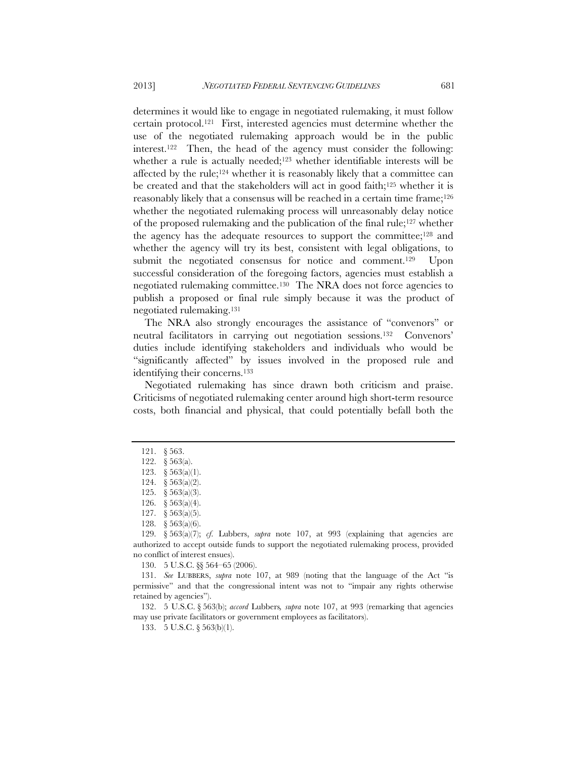determines it would like to engage in negotiated rulemaking, it must follow certain protocol.121 First, interested agencies must determine whether the use of the negotiated rulemaking approach would be in the public interest.122 Then, the head of the agency must consider the following: whether a rule is actually needed;<sup>123</sup> whether identifiable interests will be affected by the rule;124 whether it is reasonably likely that a committee can be created and that the stakeholders will act in good faith;125 whether it is reasonably likely that a consensus will be reached in a certain time frame;<sup>126</sup> whether the negotiated rulemaking process will unreasonably delay notice of the proposed rulemaking and the publication of the final rule;127 whether the agency has the adequate resources to support the committee;128 and whether the agency will try its best, consistent with legal obligations, to submit the negotiated consensus for notice and comment.<sup>129</sup> Upon successful consideration of the foregoing factors, agencies must establish a negotiated rulemaking committee.130 The NRA does not force agencies to publish a proposed or final rule simply because it was the product of negotiated rulemaking.131

The NRA also strongly encourages the assistance of "convenors" or neutral facilitators in carrying out negotiation sessions.132 Convenors' duties include identifying stakeholders and individuals who would be "significantly affected" by issues involved in the proposed rule and identifying their concerns.133

Negotiated rulemaking has since drawn both criticism and praise. Criticisms of negotiated rulemaking center around high short-term resource costs, both financial and physical, that could potentially befall both the

130. 5 U.S.C. §§ 564–65 (2006).

 131. *See* LUBBERS, *supra* note 107, at 989 (noting that the language of the Act "is permissive" and that the congressional intent was not to "impair any rights otherwise retained by agencies").

 132. 5 U.S.C. § 563(b); *accord* Lubbers*, supra* note 107, at 993 (remarking that agencies may use private facilitators or government employees as facilitators).

133. 5 U.S.C. § 563(b)(1).

 <sup>121. § 563.</sup> 

 <sup>122. § 563(</sup>a).

 <sup>123. § 563(</sup>a)(1).

 <sup>124. § 563(</sup>a)(2).

 <sup>125. § 563(</sup>a)(3).

 <sup>126. § 563(</sup>a)(4).

 <sup>127. § 563(</sup>a)(5).

 <sup>128. § 563(</sup>a)(6).

 <sup>129. § 563(</sup>a)(7); *cf*. Lubbers, *supra* note 107, at 993 (explaining that agencies are authorized to accept outside funds to support the negotiated rulemaking process, provided no conflict of interest ensues).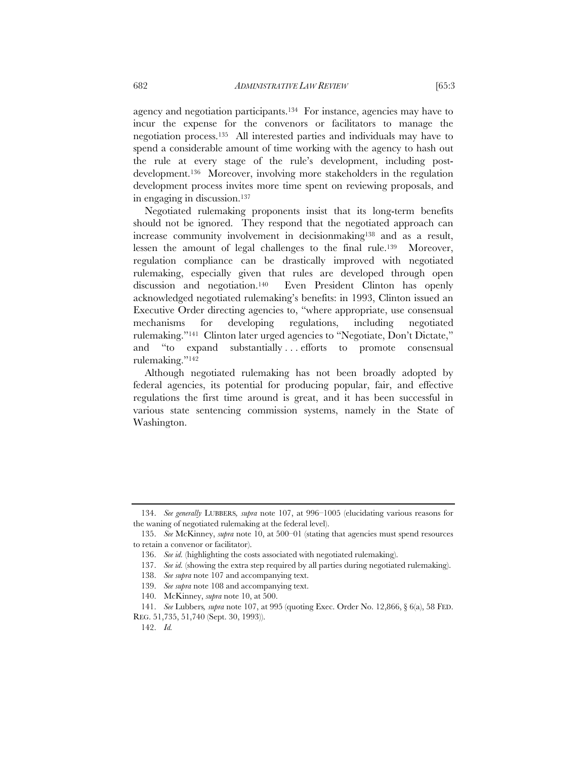agency and negotiation participants.134 For instance, agencies may have to incur the expense for the convenors or facilitators to manage the negotiation process.135 All interested parties and individuals may have to spend a considerable amount of time working with the agency to hash out the rule at every stage of the rule's development, including postdevelopment.136 Moreover, involving more stakeholders in the regulation development process invites more time spent on reviewing proposals, and in engaging in discussion.137

Negotiated rulemaking proponents insist that its long-term benefits should not be ignored. They respond that the negotiated approach can increase community involvement in decisionmaking<sup>138</sup> and as a result, lessen the amount of legal challenges to the final rule.139 Moreover, regulation compliance can be drastically improved with negotiated rulemaking, especially given that rules are developed through open discussion and negotiation.140 Even President Clinton has openly acknowledged negotiated rulemaking's benefits: in 1993, Clinton issued an Executive Order directing agencies to, "where appropriate, use consensual mechanisms for developing regulations, including negotiated rulemaking."141 Clinton later urged agencies to "Negotiate, Don't Dictate," and "to expand substantially ... efforts to promote consensual rulemaking."142

Although negotiated rulemaking has not been broadly adopted by federal agencies, its potential for producing popular, fair, and effective regulations the first time around is great, and it has been successful in various state sentencing commission systems, namely in the State of Washington.

 <sup>134.</sup> *See generally* LUBBERS*, supra* note 107, at 996–1005 (elucidating various reasons for the waning of negotiated rulemaking at the federal level).

 <sup>135.</sup> *See* McKinney, *supra* note 10, at 500–01 (stating that agencies must spend resources to retain a convenor or facilitator).

 <sup>136.</sup> *See id.* (highlighting the costs associated with negotiated rulemaking).

 <sup>137.</sup> *See id.* (showing the extra step required by all parties during negotiated rulemaking).

 <sup>138.</sup> *See supra* note 107 and accompanying text.

 <sup>139.</sup> *See supra* note 108 and accompanying text.

 <sup>140.</sup> McKinney, *supra* note 10, at 500.

 <sup>141.</sup> *See* Lubbers*, supra* note 107, at 995 (quoting Exec. Order No. 12,866, § 6(a), 58 FED. REG. 51,735, 51,740 (Sept. 30, 1993)).

 <sup>142.</sup> *Id.*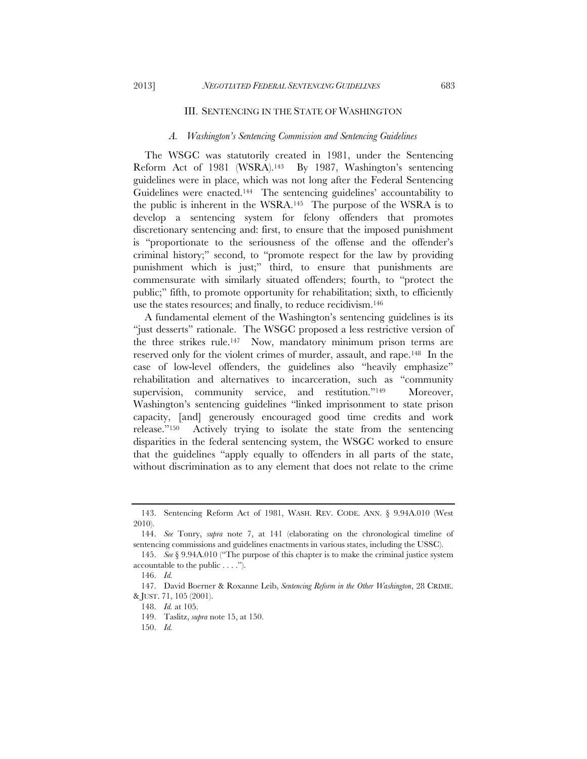#### III. SENTENCING IN THE STATE OF WASHINGTON

#### *A. Washington's Sentencing Commission and Sentencing Guidelines*

The WSGC was statutorily created in 1981, under the Sentencing Reform Act of 1981 (WSRA).<sup>143</sup> By 1987, Washington's sentencing guidelines were in place, which was not long after the Federal Sentencing Guidelines were enacted.<sup>144</sup> The sentencing guidelines' accountability to the public is inherent in the WSRA.145 The purpose of the WSRA is to develop a sentencing system for felony offenders that promotes discretionary sentencing and: first, to ensure that the imposed punishment is "proportionate to the seriousness of the offense and the offender's criminal history;" second, to "promote respect for the law by providing punishment which is just;" third, to ensure that punishments are commensurate with similarly situated offenders; fourth, to "protect the public;" fifth, to promote opportunity for rehabilitation; sixth, to efficiently use the states resources; and finally, to reduce recidivism.146

A fundamental element of the Washington's sentencing guidelines is its "just desserts" rationale. The WSGC proposed a less restrictive version of the three strikes rule.147 Now, mandatory minimum prison terms are reserved only for the violent crimes of murder, assault, and rape.148 In the case of low-level offenders, the guidelines also "heavily emphasize" rehabilitation and alternatives to incarceration, such as "community supervision, community service, and restitution."<sup>149</sup> Moreover, Washington's sentencing guidelines "linked imprisonment to state prison capacity, [and] generously encouraged good time credits and work release."150 Actively trying to isolate the state from the sentencing disparities in the federal sentencing system, the WSGC worked to ensure that the guidelines "apply equally to offenders in all parts of the state, without discrimination as to any element that does not relate to the crime

 <sup>143.</sup> Sentencing Reform Act of 1981, WASH. REV. CODE. ANN. § 9.94A.010 (West 2010).

 <sup>144.</sup> *See* Tonry, *supra* note 7, at 141 (elaborating on the chronological timeline of sentencing commissions and guidelines enactments in various states, including the USSC).

 <sup>145.</sup> *See* § 9.94A.010 ("The purpose of this chapter is to make the criminal justice system accountable to the public . . . .").

 <sup>146.</sup> *Id.*

 <sup>147.</sup> David Boerner & Roxanne Leib, *Sentencing Reform in the Other Washington*, 28 CRIME. & JUST. 71, 105 (2001).

 <sup>148.</sup> *Id.* at 105.

 <sup>149.</sup> Taslitz, *supra* note 15, at 150.

 <sup>150.</sup> *Id.*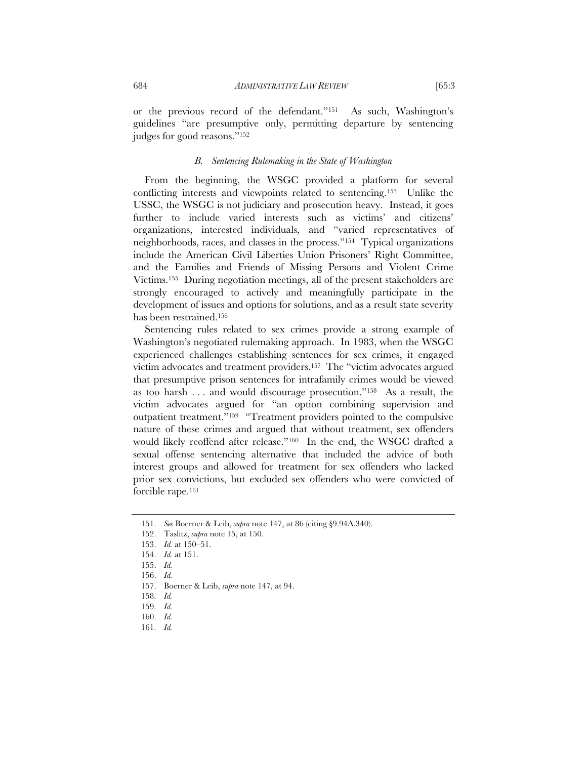or the previous record of the defendant."151 As such, Washington's guidelines "are presumptive only, permitting departure by sentencing judges for good reasons."152

# *B. Sentencing Rulemaking in the State of Washington*

From the beginning, the WSGC provided a platform for several conflicting interests and viewpoints related to sentencing.153 Unlike the USSC, the WSGC is not judiciary and prosecution heavy. Instead, it goes further to include varied interests such as victims' and citizens' organizations, interested individuals, and "varied representatives of neighborhoods, races, and classes in the process."154 Typical organizations include the American Civil Liberties Union Prisoners' Right Committee, and the Families and Friends of Missing Persons and Violent Crime Victims.155 During negotiation meetings, all of the present stakeholders are strongly encouraged to actively and meaningfully participate in the development of issues and options for solutions, and as a result state severity has been restrained.156

Sentencing rules related to sex crimes provide a strong example of Washington's negotiated rulemaking approach. In 1983, when the WSGC experienced challenges establishing sentences for sex crimes, it engaged victim advocates and treatment providers.157 The "victim advocates argued that presumptive prison sentences for intrafamily crimes would be viewed as too harsh . . . and would discourage prosecution."158 As a result, the victim advocates argued for "an option combining supervision and outpatient treatment."159 "Treatment providers pointed to the compulsive nature of these crimes and argued that without treatment, sex offenders would likely reoffend after release."160 In the end, the WSGC drafted a sexual offense sentencing alternative that included the advice of both interest groups and allowed for treatment for sex offenders who lacked prior sex convictions, but excluded sex offenders who were convicted of forcible rape.<sup>161</sup>

 <sup>151.</sup> *See* Boerner & Leib, *supra* note 147, at 86 (citing §9.94A.340).

 <sup>152.</sup> Taslitz, *supra* note 15, at 150.

 <sup>153.</sup> *Id.* at 150–51.

 <sup>154.</sup> *Id.* at 151.

 <sup>155.</sup> *Id.*

 <sup>156.</sup> *Id.*

 <sup>157.</sup> Boerner & Leib, *supra* note 147, at 94.

 <sup>158.</sup> *Id.*

 <sup>159.</sup> *Id.*

 <sup>160.</sup> *Id.*

 <sup>161.</sup> *Id.*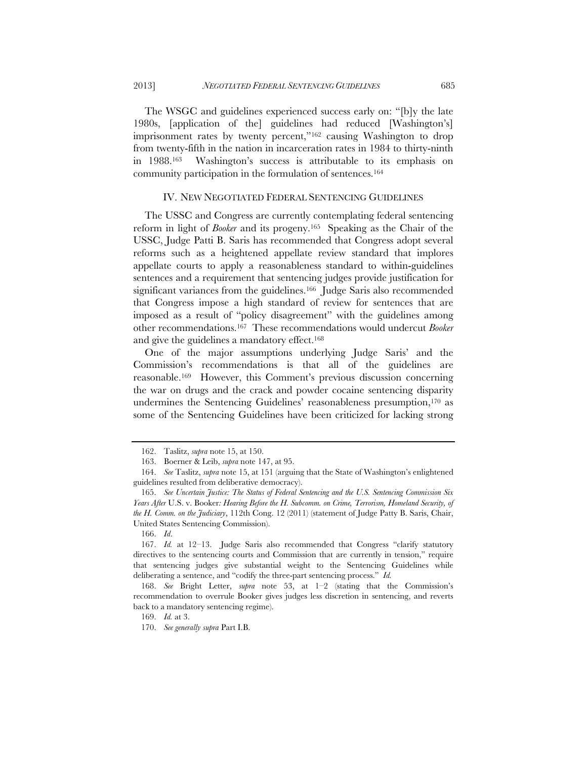The WSGC and guidelines experienced success early on: "[b]y the late 1980s, [application of the] guidelines had reduced [Washington's] imprisonment rates by twenty percent,"<sup>162</sup> causing Washington to drop from twenty-fifth in the nation in incarceration rates in 1984 to thirty-ninth in 1988.163 Washington's success is attributable to its emphasis on community participation in the formulation of sentences.164

#### IV. NEW NEGOTIATED FEDERAL SENTENCING GUIDELINES

The USSC and Congress are currently contemplating federal sentencing reform in light of *Booker* and its progeny.165 Speaking as the Chair of the USSC, Judge Patti B. Saris has recommended that Congress adopt several reforms such as a heightened appellate review standard that implores appellate courts to apply a reasonableness standard to within-guidelines sentences and a requirement that sentencing judges provide justification for significant variances from the guidelines.<sup>166</sup> Judge Saris also recommended that Congress impose a high standard of review for sentences that are imposed as a result of "policy disagreement" with the guidelines among other recommendations.167 These recommendations would undercut *Booker* and give the guidelines a mandatory effect.<sup>168</sup>

One of the major assumptions underlying Judge Saris' and the Commission's recommendations is that all of the guidelines are reasonable.169 However, this Comment's previous discussion concerning the war on drugs and the crack and powder cocaine sentencing disparity undermines the Sentencing Guidelines' reasonableness presumption,170 as some of the Sentencing Guidelines have been criticized for lacking strong

166. *Id*.

169. *Id.* at 3.

 <sup>162.</sup> Taslitz, *supra* note 15, at 150.

 <sup>163.</sup> Boerner & Leib, *supra* note 147, at 95.

 <sup>164.</sup> *See* Taslitz, *supra* note 15, at 151 (arguing that the State of Washington's enlightened guidelines resulted from deliberative democracy).

 <sup>165.</sup> *See Uncertain Justice: The Status of Federal Sentencing and the U.S. Sentencing Commission Six Years After* U.S. v. Booker*: Hearing Before the H. Subcomm. on Crime, Terrorism, Homeland Security, of the H. Comm. on the Judiciary*, 112th Cong. 12 (2011) (statement of Judge Patty B. Saris, Chair, United States Sentencing Commission).

 <sup>167.</sup> *Id.* at 12–13. Judge Saris also recommended that Congress "clarify statutory directives to the sentencing courts and Commission that are currently in tension," require that sentencing judges give substantial weight to the Sentencing Guidelines while deliberating a sentence, and "codify the three-part sentencing process." *Id.*

 <sup>168.</sup> *See* Bright Letter, *supra* note 53, at 1–2 (stating that the Commission's recommendation to overrule Booker gives judges less discretion in sentencing, and reverts back to a mandatory sentencing regime).

 <sup>170.</sup> *See generally supra* Part I.B.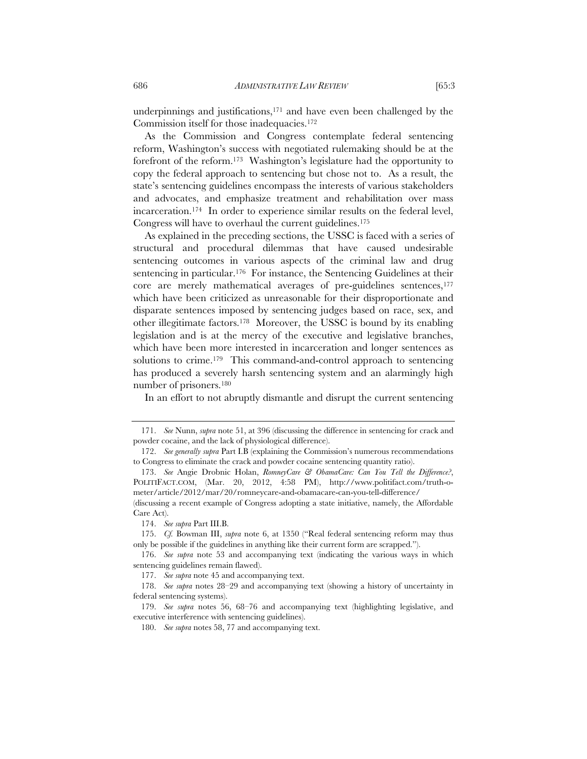underpinnings and justifications,171 and have even been challenged by the Commission itself for those inadequacies.172

As the Commission and Congress contemplate federal sentencing reform, Washington's success with negotiated rulemaking should be at the forefront of the reform.173 Washington's legislature had the opportunity to copy the federal approach to sentencing but chose not to. As a result, the state's sentencing guidelines encompass the interests of various stakeholders and advocates, and emphasize treatment and rehabilitation over mass incarceration.174 In order to experience similar results on the federal level, Congress will have to overhaul the current guidelines.175

As explained in the preceding sections, the USSC is faced with a series of structural and procedural dilemmas that have caused undesirable sentencing outcomes in various aspects of the criminal law and drug sentencing in particular.176 For instance, the Sentencing Guidelines at their core are merely mathematical averages of pre-guidelines sentences,<sup>177</sup> which have been criticized as unreasonable for their disproportionate and disparate sentences imposed by sentencing judges based on race, sex, and other illegitimate factors.178 Moreover, the USSC is bound by its enabling legislation and is at the mercy of the executive and legislative branches, which have been more interested in incarceration and longer sentences as solutions to crime.<sup>179</sup> This command-and-control approach to sentencing has produced a severely harsh sentencing system and an alarmingly high number of prisoners.180

In an effort to not abruptly dismantle and disrupt the current sentencing

 <sup>171.</sup> *See* Nunn, *supra* note 51, at 396 (discussing the difference in sentencing for crack and powder cocaine, and the lack of physiological difference).

 <sup>172.</sup> *See generally supra* Part I.B (explaining the Commission's numerous recommendations to Congress to eliminate the crack and powder cocaine sentencing quantity ratio).

 <sup>173.</sup> *See* Angie Drobnic Holan, *RomneyCare & ObamaCare: Can You Tell the Difference?*, POLITIFACT.COM, (Mar. 20, 2012, 4:58 PM), http://www.politifact.com/truth-ometer/article/2012/mar/20/romneycare-and-obamacare-can-you-tell-difference/

<sup>(</sup>discussing a recent example of Congress adopting a state initiative, namely, the Affordable Care Act).

 <sup>174.</sup> *See supra* Part III.B.

 <sup>175.</sup> *Cf.* Bowman III, *supra* note 6, at 1350 ("Real federal sentencing reform may thus only be possible if the guidelines in anything like their current form are scrapped.").

 <sup>176.</sup> *See supra* note 53 and accompanying text (indicating the various ways in which sentencing guidelines remain flawed).

 <sup>177.</sup> *See supra* note 45 and accompanying text.

 <sup>178.</sup> *See supra* notes 28–29 and accompanying text (showing a history of uncertainty in federal sentencing systems).

 <sup>179.</sup> *See supra* notes 56, 68–76 and accompanying text (highlighting legislative, and executive interference with sentencing guidelines).

 <sup>180.</sup> *See supra* notes 58, 77 and accompanying text.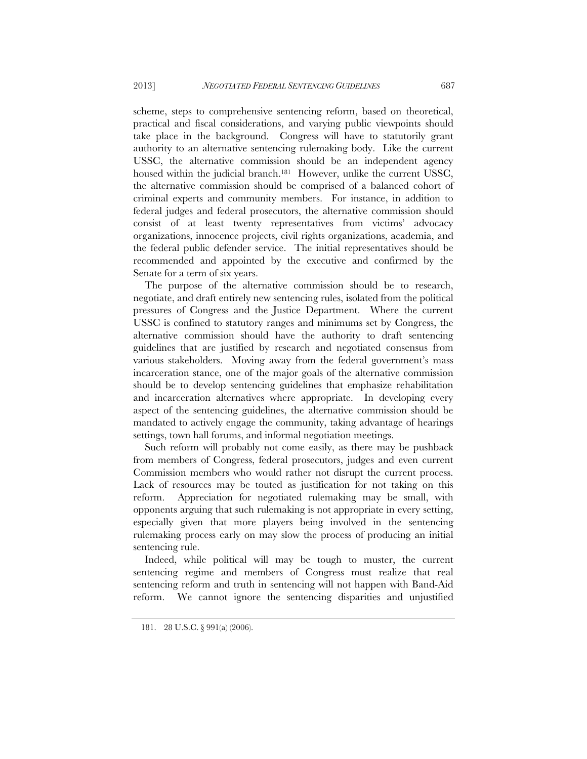scheme, steps to comprehensive sentencing reform, based on theoretical, practical and fiscal considerations, and varying public viewpoints should take place in the background. Congress will have to statutorily grant authority to an alternative sentencing rulemaking body. Like the current USSC, the alternative commission should be an independent agency housed within the judicial branch.<sup>181</sup> However, unlike the current USSC, the alternative commission should be comprised of a balanced cohort of criminal experts and community members. For instance, in addition to federal judges and federal prosecutors, the alternative commission should consist of at least twenty representatives from victims' advocacy organizations, innocence projects, civil rights organizations, academia, and the federal public defender service. The initial representatives should be recommended and appointed by the executive and confirmed by the Senate for a term of six years.

The purpose of the alternative commission should be to research, negotiate, and draft entirely new sentencing rules, isolated from the political pressures of Congress and the Justice Department. Where the current USSC is confined to statutory ranges and minimums set by Congress, the alternative commission should have the authority to draft sentencing guidelines that are justified by research and negotiated consensus from various stakeholders. Moving away from the federal government's mass incarceration stance, one of the major goals of the alternative commission should be to develop sentencing guidelines that emphasize rehabilitation and incarceration alternatives where appropriate. In developing every aspect of the sentencing guidelines, the alternative commission should be mandated to actively engage the community, taking advantage of hearings settings, town hall forums, and informal negotiation meetings.

Such reform will probably not come easily, as there may be pushback from members of Congress, federal prosecutors, judges and even current Commission members who would rather not disrupt the current process. Lack of resources may be touted as justification for not taking on this reform. Appreciation for negotiated rulemaking may be small, with opponents arguing that such rulemaking is not appropriate in every setting, especially given that more players being involved in the sentencing rulemaking process early on may slow the process of producing an initial sentencing rule.

Indeed, while political will may be tough to muster, the current sentencing regime and members of Congress must realize that real sentencing reform and truth in sentencing will not happen with Band-Aid reform. We cannot ignore the sentencing disparities and unjustified

 <sup>181. 28</sup> U.S.C. § 991(a) (2006).